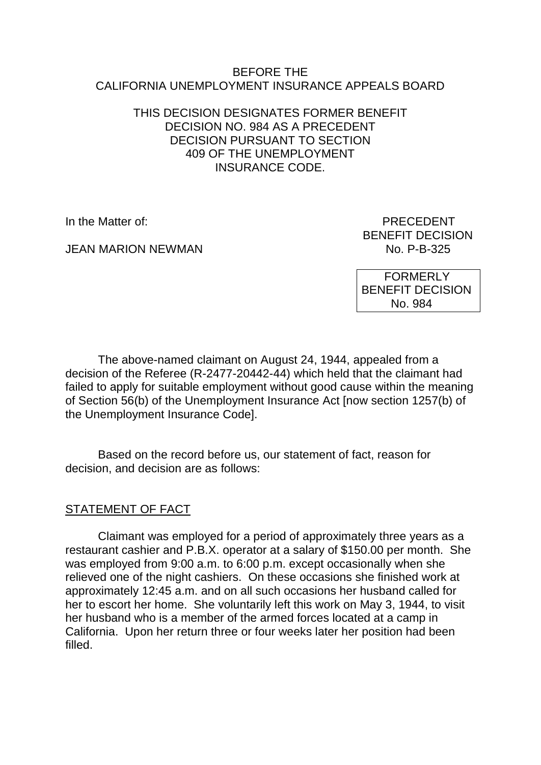#### BEFORE THE CALIFORNIA UNEMPLOYMENT INSURANCE APPEALS BOARD

### THIS DECISION DESIGNATES FORMER BENEFIT DECISION NO. 984 AS A PRECEDENT DECISION PURSUANT TO SECTION 409 OF THE UNEMPLOYMENT INSURANCE CODE.

**JEAN MARION NEWMAN** 

In the Matter of: PRECEDENT BENEFIT DECISION<br>No. P-B-325

> FORMERLY BENEFIT DECISION No. 984

The above-named claimant on August 24, 1944, appealed from a decision of the Referee (R-2477-20442-44) which held that the claimant had failed to apply for suitable employment without good cause within the meaning of Section 56(b) of the Unemployment Insurance Act [now section 1257(b) of the Unemployment Insurance Code].

Based on the record before us, our statement of fact, reason for decision, and decision are as follows:

# STATEMENT OF FACT

Claimant was employed for a period of approximately three years as a restaurant cashier and P.B.X. operator at a salary of \$150.00 per month. She was employed from 9:00 a.m. to 6:00 p.m. except occasionally when she relieved one of the night cashiers. On these occasions she finished work at approximately 12:45 a.m. and on all such occasions her husband called for her to escort her home. She voluntarily left this work on May 3, 1944, to visit her husband who is a member of the armed forces located at a camp in California. Upon her return three or four weeks later her position had been filled.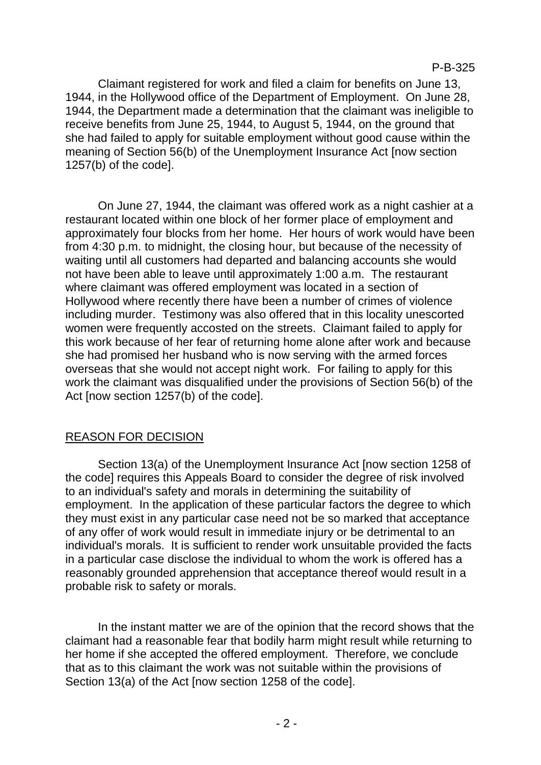Claimant registered for work and filed a claim for benefits on June 13, 1944, in the Hollywood office of the Department of Employment. On June 28, 1944, the Department made a determination that the claimant was ineligible to receive benefits from June 25, 1944, to August 5, 1944, on the ground that she had failed to apply for suitable employment without good cause within the meaning of Section 56(b) of the Unemployment Insurance Act [now section 1257(b) of the code].

On June 27, 1944, the claimant was offered work as a night cashier at a restaurant located within one block of her former place of employment and approximately four blocks from her home. Her hours of work would have been from 4:30 p.m. to midnight, the closing hour, but because of the necessity of waiting until all customers had departed and balancing accounts she would not have been able to leave until approximately 1:00 a.m. The restaurant where claimant was offered employment was located in a section of Hollywood where recently there have been a number of crimes of violence including murder. Testimony was also offered that in this locality unescorted women were frequently accosted on the streets. Claimant failed to apply for this work because of her fear of returning home alone after work and because she had promised her husband who is now serving with the armed forces overseas that she would not accept night work. For failing to apply for this work the claimant was disqualified under the provisions of Section 56(b) of the Act [now section 1257(b) of the code].

# REASON FOR DECISION

Section 13(a) of the Unemployment Insurance Act [now section 1258 of the code] requires this Appeals Board to consider the degree of risk involved to an individual's safety and morals in determining the suitability of employment. In the application of these particular factors the degree to which they must exist in any particular case need not be so marked that acceptance of any offer of work would result in immediate injury or be detrimental to an individual's morals. It is sufficient to render work unsuitable provided the facts in a particular case disclose the individual to whom the work is offered has a reasonably grounded apprehension that acceptance thereof would result in a probable risk to safety or morals.

In the instant matter we are of the opinion that the record shows that the claimant had a reasonable fear that bodily harm might result while returning to her home if she accepted the offered employment. Therefore, we conclude that as to this claimant the work was not suitable within the provisions of Section 13(a) of the Act [now section 1258 of the code].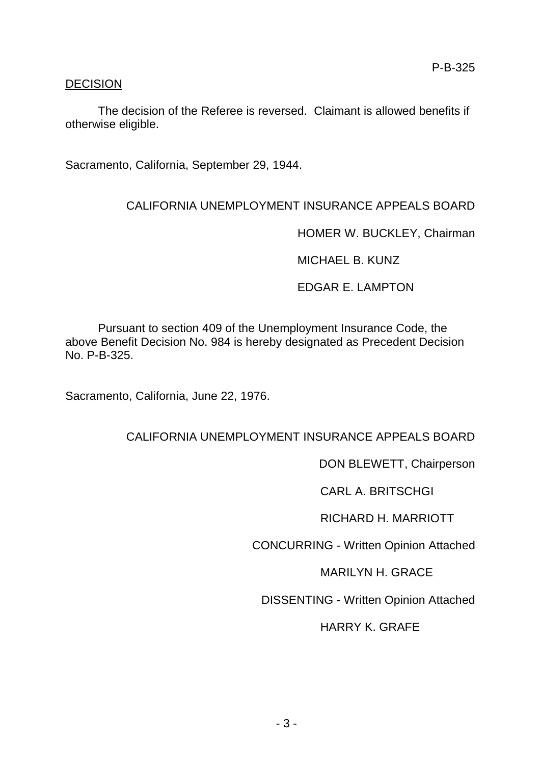### DECISION

The decision of the Referee is reversed. Claimant is allowed benefits if otherwise eligible.

Sacramento, California, September 29, 1944.

# CALIFORNIA UNEMPLOYMENT INSURANCE APPEALS BOARD

HOMER W. BUCKLEY, Chairman

MICHAEL B. KUNZ

EDGAR E. LAMPTON

Pursuant to section 409 of the Unemployment Insurance Code, the above Benefit Decision No. 984 is hereby designated as Precedent Decision No. P-B-325.

Sacramento, California, June 22, 1976.

# CALIFORNIA UNEMPLOYMENT INSURANCE APPEALS BOARD

DON BLEWETT, Chairperson

CARL A. BRITSCHGI

RICHARD H. MARRIOTT

CONCURRING - Written Opinion Attached

MARILYN H. GRACE

DISSENTING - Written Opinion Attached

HARRY K. GRAFE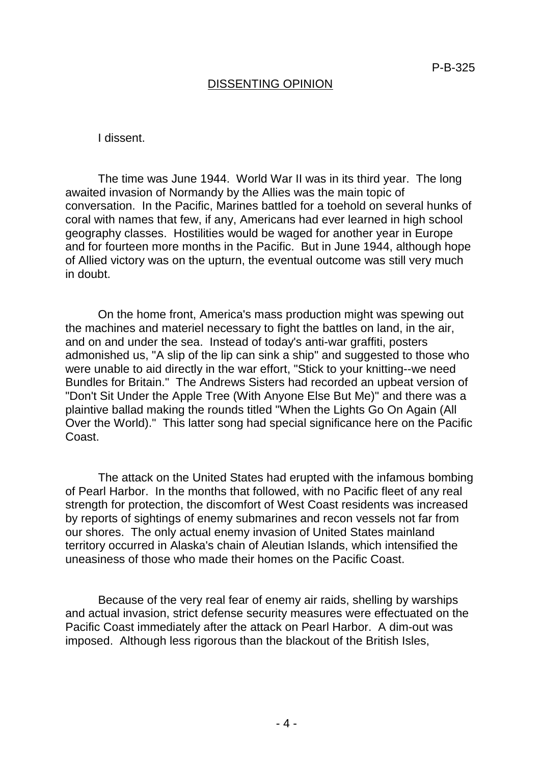#### DISSENTING OPINION

I dissent.

The time was June 1944. World War II was in its third year. The long awaited invasion of Normandy by the Allies was the main topic of conversation. In the Pacific, Marines battled for a toehold on several hunks of coral with names that few, if any, Americans had ever learned in high school geography classes. Hostilities would be waged for another year in Europe and for fourteen more months in the Pacific. But in June 1944, although hope of Allied victory was on the upturn, the eventual outcome was still very much in doubt.

On the home front, America's mass production might was spewing out the machines and materiel necessary to fight the battles on land, in the air, and on and under the sea. Instead of today's anti-war graffiti, posters admonished us, "A slip of the lip can sink a ship" and suggested to those who were unable to aid directly in the war effort, "Stick to your knitting--we need Bundles for Britain." The Andrews Sisters had recorded an upbeat version of "Don't Sit Under the Apple Tree (With Anyone Else But Me)" and there was a plaintive ballad making the rounds titled "When the Lights Go On Again (All Over the World)." This latter song had special significance here on the Pacific Coast.

The attack on the United States had erupted with the infamous bombing of Pearl Harbor. In the months that followed, with no Pacific fleet of any real strength for protection, the discomfort of West Coast residents was increased by reports of sightings of enemy submarines and recon vessels not far from our shores. The only actual enemy invasion of United States mainland territory occurred in Alaska's chain of Aleutian Islands, which intensified the uneasiness of those who made their homes on the Pacific Coast.

Because of the very real fear of enemy air raids, shelling by warships and actual invasion, strict defense security measures were effectuated on the Pacific Coast immediately after the attack on Pearl Harbor. A dim-out was imposed. Although less rigorous than the blackout of the British Isles,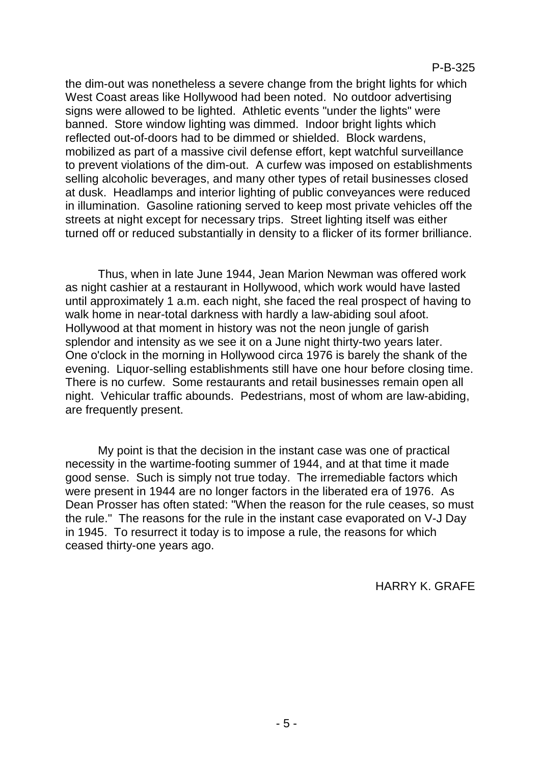the dim-out was nonetheless a severe change from the bright lights for which West Coast areas like Hollywood had been noted. No outdoor advertising signs were allowed to be lighted. Athletic events "under the lights" were banned. Store window lighting was dimmed. Indoor bright lights which reflected out-of-doors had to be dimmed or shielded. Block wardens, mobilized as part of a massive civil defense effort, kept watchful surveillance to prevent violations of the dim-out. A curfew was imposed on establishments selling alcoholic beverages, and many other types of retail businesses closed at dusk. Headlamps and interior lighting of public conveyances were reduced in illumination. Gasoline rationing served to keep most private vehicles off the streets at night except for necessary trips. Street lighting itself was either turned off or reduced substantially in density to a flicker of its former brilliance.

Thus, when in late June 1944, Jean Marion Newman was offered work as night cashier at a restaurant in Hollywood, which work would have lasted until approximately 1 a.m. each night, she faced the real prospect of having to walk home in near-total darkness with hardly a law-abiding soul afoot. Hollywood at that moment in history was not the neon jungle of garish splendor and intensity as we see it on a June night thirty-two years later. One o'clock in the morning in Hollywood circa 1976 is barely the shank of the evening. Liquor-selling establishments still have one hour before closing time. There is no curfew. Some restaurants and retail businesses remain open all night. Vehicular traffic abounds. Pedestrians, most of whom are law-abiding, are frequently present.

My point is that the decision in the instant case was one of practical necessity in the wartime-footing summer of 1944, and at that time it made good sense. Such is simply not true today. The irremediable factors which were present in 1944 are no longer factors in the liberated era of 1976. As Dean Prosser has often stated: "When the reason for the rule ceases, so must the rule." The reasons for the rule in the instant case evaporated on V-J Day in 1945. To resurrect it today is to impose a rule, the reasons for which ceased thirty-one years ago.

HARRY K. GRAFE